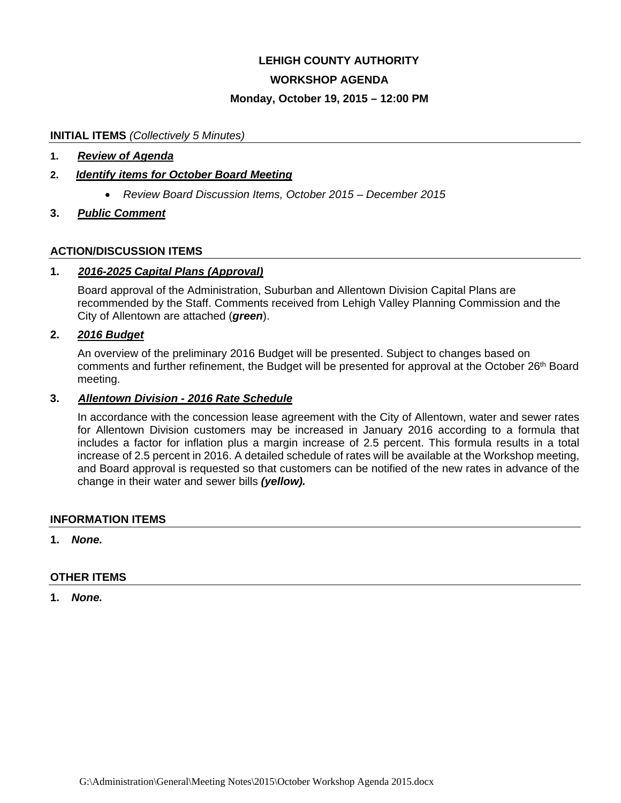# **LEHIGH COUNTY AUTHORITY**

# **WORKSHOP AGENDA**

# **Monday, October 19, 2015 – 12:00 PM**

### **INITIAL ITEMS** *(Collectively 5 Minutes)*

### **1.** *Review of Agenda*

# **2.** *Identify items for October Board Meeting*

*Review Board Discussion Items, October 2015 – December 2015*

# **3.** *Public Comment*

# **ACTION/DISCUSSION ITEMS**

# **1.** *2016-2025 Capital Plans (Approval)*

Board approval of the Administration, Suburban and Allentown Division Capital Plans are recommended by the Staff. Comments received from Lehigh Valley Planning Commission and the City of Allentown are attached (*green*).

# **2.** *2016 Budget*

An overview of the preliminary 2016 Budget will be presented. Subject to changes based on comments and further refinement, the Budget will be presented for approval at the October 26th Board meeting.

### **3.** *Allentown Division - 2016 Rate Schedule*

In accordance with the concession lease agreement with the City of Allentown, water and sewer rates for Allentown Division customers may be increased in January 2016 according to a formula that includes a factor for inflation plus a margin increase of 2.5 percent. This formula results in a total increase of 2.5 percent in 2016. A detailed schedule of rates will be available at the Workshop meeting, and Board approval is requested so that customers can be notified of the new rates in advance of the change in their water and sewer bills *(yellow).* 

#### **INFORMATION ITEMS**

#### **1.** *None.*

# **OTHER ITEMS**

**1.** *None.*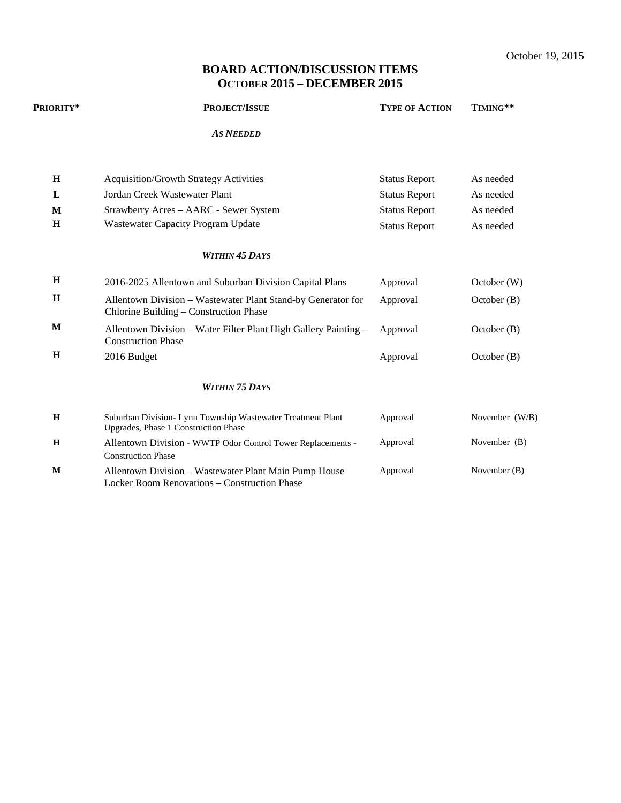October 19, 2015

# **BOARD ACTION/DISCUSSION ITEMS OCTOBER 2015 – DECEMBER 2015**

| Priority*   | <b>PROJECT/ISSUE</b>                                                                                   | <b>TYPE OF ACTION</b> | TIMING**       |  |
|-------------|--------------------------------------------------------------------------------------------------------|-----------------------|----------------|--|
|             | <b>AS NEEDED</b>                                                                                       |                       |                |  |
| H           | <b>Acquisition/Growth Strategy Activities</b>                                                          | <b>Status Report</b>  | As needed      |  |
| L           | Jordan Creek Wastewater Plant                                                                          | <b>Status Report</b>  | As needed      |  |
| M           | Strawberry Acres – AARC - Sewer System                                                                 | <b>Status Report</b>  | As needed      |  |
| H           | Wastewater Capacity Program Update                                                                     | <b>Status Report</b>  | As needed      |  |
|             | <b>WITHIN 45 DAYS</b>                                                                                  |                       |                |  |
| $\mathbf H$ | 2016-2025 Allentown and Suburban Division Capital Plans                                                | Approval              | October (W)    |  |
| H           | Allentown Division - Wastewater Plant Stand-by Generator for<br>Chlorine Building – Construction Phase | Approval              | October(B)     |  |
| M           | Allentown Division – Water Filter Plant High Gallery Painting –<br><b>Construction Phase</b>           | Approval              | October(B)     |  |
| H           | 2016 Budget                                                                                            | Approval              | October (B)    |  |
|             | <b>WITHIN 75 DAYS</b>                                                                                  |                       |                |  |
| H           | Suburban Division- Lynn Township Wastewater Treatment Plant<br>Upgrades, Phase 1 Construction Phase    | Approval              | November (W/B) |  |
| H           | Allentown Division - WWTP Odor Control Tower Replacements -<br><b>Construction Phase</b>               | Approval              | November (B)   |  |
| M           | Allentown Division - Wastewater Plant Main Pump House<br>Locker Room Renovations - Construction Phase  | Approval              | November $(B)$ |  |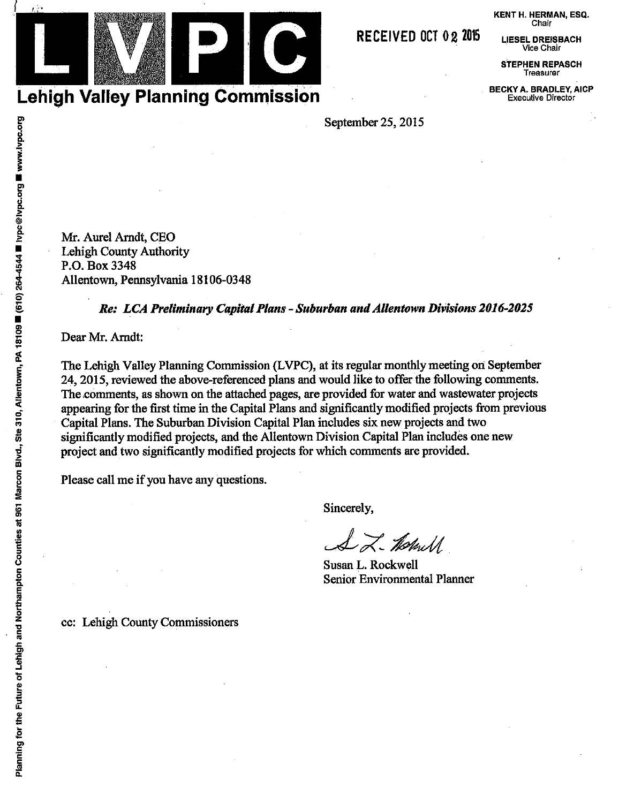KENT H. HERMAN, ESQ. Chair

**LIESEL DREISBACH** Vice Chair

**STEPHEN REPASCH** Treasurer

**BECKY A. BRADLEY, AICP Executive Director** 

September 25, 2015

Mr. Aurel Arndt, CEO Lehigh County Authority P.O. Box 3348 Allentown, Pennsylvania 18106-0348

# Re: LCA Preliminary Capital Plans - Suburban and Allentown Divisions 2016-2025

Dear Mr. Arndt:

The Lehigh Valley Planning Commission (LVPC), at its regular monthly meeting on September 24, 2015, reviewed the above-referenced plans and would like to offer the following comments. The comments, as shown on the attached pages, are provided for water and wastewater projects appearing for the first time in the Capital Plans and significantly modified projects from previous Capital Plans. The Suburban Division Capital Plan includes six new projects and two significantly modified projects, and the Allentown Division Capital Plan includes one new project and two significantly modified projects for which comments are provided.

Please call me if you have any questions.

Sincerely,

LL-Thebrull

Susan L. Rockwell **Senior Environmental Planner** 

cc: Lehigh County Commissioners



RECEIVED OCT 02 2015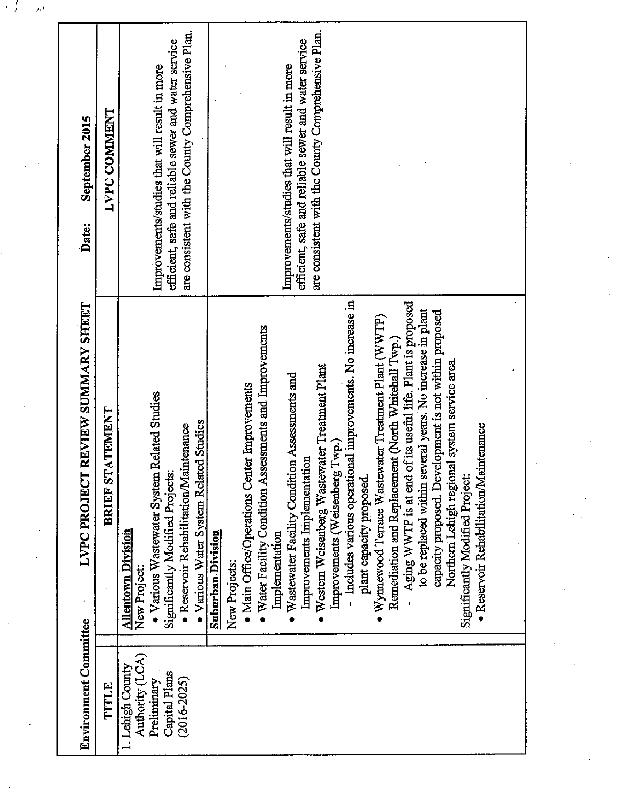| September 2015<br>Date:                  | <b>LVPC COMMENT</b>    | are consistent with the County Comprehensive Plan.<br>are consistent with the County Comprehensive Plan.<br>efficient, safe and reliable sewer and water service<br>efficient, safe and reliable sewer and water service<br>Improvements/studies that will result in more<br>Improvements/studies that will result in more                                                                                                                                                                                                                                                                                                                                                                                                                                                                                                                                                                                                                                                                                                                                                              |  |
|------------------------------------------|------------------------|-----------------------------------------------------------------------------------------------------------------------------------------------------------------------------------------------------------------------------------------------------------------------------------------------------------------------------------------------------------------------------------------------------------------------------------------------------------------------------------------------------------------------------------------------------------------------------------------------------------------------------------------------------------------------------------------------------------------------------------------------------------------------------------------------------------------------------------------------------------------------------------------------------------------------------------------------------------------------------------------------------------------------------------------------------------------------------------------|--|
| <b>LVPC PROJECT REVIEW SUMMARY SHEET</b> | <b>BRIEF STATEMENT</b> | - Includes various operational improvements. No increase in<br>Aging WWTP is at end of its useful life. Plant is proposed<br>to be replaced within several years. No increase in plant<br>capacity proposed. Development is not within proposed<br>• Wynnewood Terrace Wastewater Treatment Plant (WWTP)<br>· Water Facility Condition Assessments and Improvements<br>Remediation and Replacement (North Whitehall Twp.)<br>Northern Lehigh regional system service area.<br>Western Weisenberg Wastewater Treatment Plant<br>Wastewater Facility Condition Assessments and<br>• Main Office/Operations Center Improvements<br>• Various Wastewater System Related Studies<br>• Various Water System Related Studies<br>· Reservoir Rehabilitation/Maintenance<br>· Reservoir Rehabilitation/Maintenance<br>Improvements (Weisenberg Twp.)<br>Improvements Implementation<br>Significantly Modified Projects:<br>plant capacity proposed<br>Significantly Modified Project<br><b>Allentown Division</b><br><b>Suburban Division</b><br>Implementation<br>New Projects:<br>New Project: |  |
| <b>Environment Committee</b>             | TITLE                  | Authority (LCA)<br>1. Lehigh County<br>Capital Plans<br>$(2016 - 2025)$<br>Preliminary                                                                                                                                                                                                                                                                                                                                                                                                                                                                                                                                                                                                                                                                                                                                                                                                                                                                                                                                                                                                  |  |

 $\frac{1}{2}$ 

 $\label{eq:2} \frac{1}{\sqrt{2}}\left(\frac{1}{\sqrt{2}}\right)^2\frac{1}{\sqrt{2}}\left(\frac{1}{\sqrt{2}}\right)^2.$ 

 $\sim$ 

 $\mathcal{F}^{\prime}$   $\int_{\mathbb{R}^{n}}$   $\mathcal{F}^{\prime}$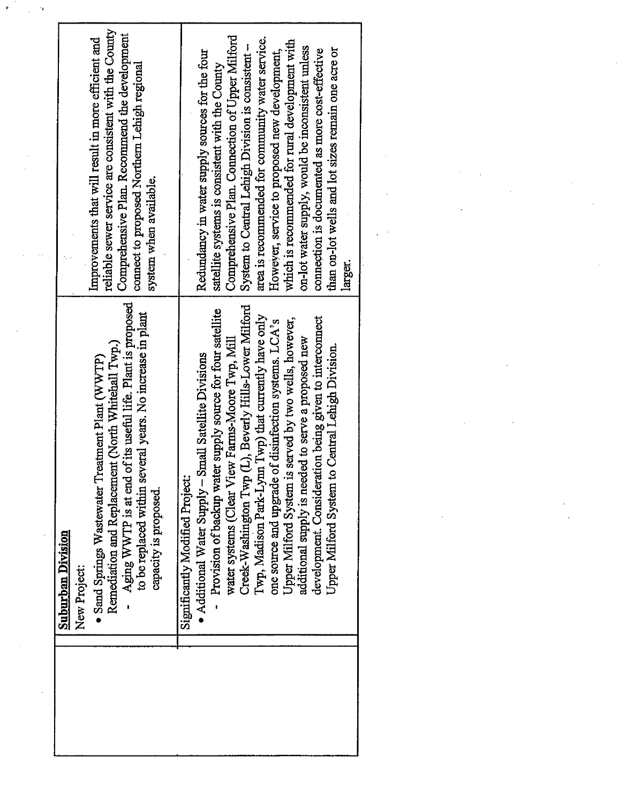| ŗ |                                                                                                                                                                                                                                                                                                      |                                                                                                                                                                                                                                                                                                                                                                                                                                                                                                                                                                                                                      |  |
|---|------------------------------------------------------------------------------------------------------------------------------------------------------------------------------------------------------------------------------------------------------------------------------------------------------|----------------------------------------------------------------------------------------------------------------------------------------------------------------------------------------------------------------------------------------------------------------------------------------------------------------------------------------------------------------------------------------------------------------------------------------------------------------------------------------------------------------------------------------------------------------------------------------------------------------------|--|
|   | reliable sewer service are consistent with the County<br>Comprehensive Plan. Recommend the development<br>Improvements that will result in more efficient and<br>connect to proposed Northern Lehigh regional<br>system when available.                                                              | Comprehensive Plan. Connection of Upper Milford<br>area is recommended for community water service.<br>which is recommended for rural development with<br>on-lot water supply, would be inconsistent unless<br>than on-lot wells and lot sizes remain one acre or<br>connection is documented as more cost-effective<br>However, service to proposed new development,<br>Redundancy in water supply sources for the four<br>System to Central Lehigh Division is consistent.<br>satellite systems is consistent with the County<br>larger.                                                                           |  |
|   | Aging WWTP is at end of its useful life. Plant is proposed<br>to be replaced within several years. No increase in plant<br>Remediation and Replacement (North Whitehall Twp.)<br>Sand Springs Wastewater Treatment Plant (WWTP)<br>capacity is proposed.<br><b>Suburban Division</b><br>New Project: | Creek-Washington Twp (L), Beverly Hills-Lower Milford<br>supply source for four satellite<br>Twp) that currently have only<br>development. Consideration being given to interconnect<br>Upper Milford System is served by two wells, however,<br>one source and upgrade of disinfection systems. LCA's<br>additional supply is needed to serve a proposed new<br>water systems (Clear View Farms-Moore Twp, Mill<br>Upper Milford System to Central Lehigh Division<br>Additional Water Supply - Small Satellite Divisions<br>Provision of backup water<br>Twp, Madison Park-Lynn<br>Significantly Modified Project: |  |
|   |                                                                                                                                                                                                                                                                                                      |                                                                                                                                                                                                                                                                                                                                                                                                                                                                                                                                                                                                                      |  |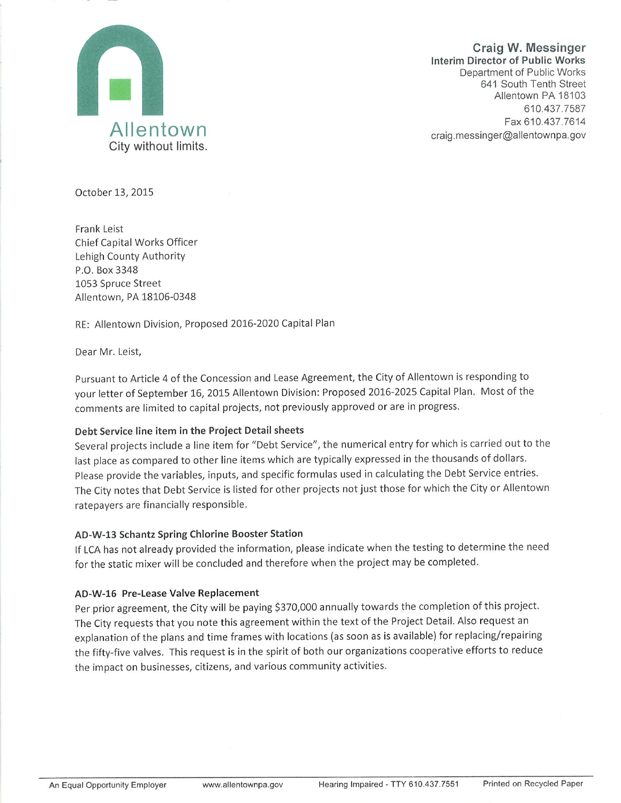

**Craig W. Messinger Interim Director of Public Works** Department of Public Works 641 South Tenth Street Allentown PA 18103 610.437.7587 Fax 610.437.7614 craig.messinger@allentownpa.gov

October 13, 2015

**Frank Leist** Chief Capital Works Officer Lehigh County Authority P.O. Box 3348 1053 Spruce Street Allentown, PA 18106-0348

RE: Allentown Division, Proposed 2016-2020 Capital Plan

Dear Mr. Leist,

Pursuant to Article 4 of the Concession and Lease Agreement, the City of Allentown is responding to your letter of September 16, 2015 Allentown Division: Proposed 2016-2025 Capital Plan. Most of the comments are limited to capital projects, not previously approved or are in progress.

#### Debt Service line item in the Project Detail sheets

Several projects include a line item for "Debt Service", the numerical entry for which is carried out to the last place as compared to other line items which are typically expressed in the thousands of dollars. Please provide the variables, inputs, and specific formulas used in calculating the Debt Service entries. The City notes that Debt Service is listed for other projects not just those for which the City or Allentown ratepayers are financially responsible.

# AD-W-13 Schantz Spring Chlorine Booster Station

If LCA has not already provided the information, please indicate when the testing to determine the need for the static mixer will be concluded and therefore when the project may be completed.

# AD-W-16 Pre-Lease Valve Replacement

Per prior agreement, the City will be paying \$370,000 annually towards the completion of this project. The City requests that you note this agreement within the text of the Project Detail. Also request an explanation of the plans and time frames with locations (as soon as is available) for replacing/repairing the fifty-five valves. This request is in the spirit of both our organizations cooperative efforts to reduce the impact on businesses, citizens, and various community activities.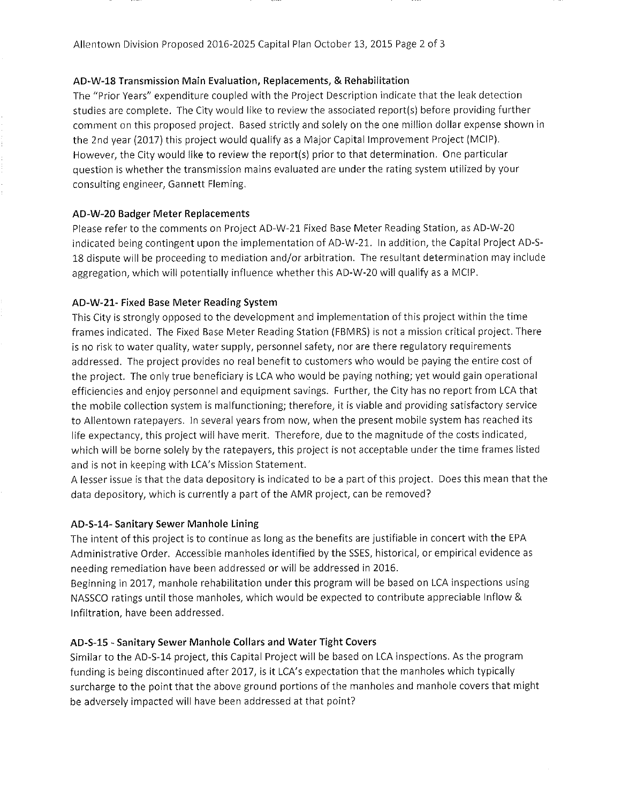#### AD-W-18 Transmission Main Evaluation, Replacements, & Rehabilitation

The "Prior Years" expenditure coupled with the Project Description indicate that the leak detection studies are complete. The City would like to review the associated report(s) before providing further comment on this proposed project. Based strictly and solely on the one million dollar expense shown in the 2nd year (2017) this project would qualify as a Major Capital Improvement Project (MCIP). However, the City would like to review the report(s) prior to that determination. One particular question is whether the transmission mains evaluated are under the rating system utilized by your consulting engineer, Gannett Fleming.

#### AD-W-20 Badger Meter Replacements

Please refer to the comments on Project AD-W-21 Fixed Base Meter Reading Station, as AD-W-20 indicated being contingent upon the implementation of AD-W-21. In addition, the Capital Project AD-S-18 dispute will be proceeding to mediation and/or arbitration. The resultant determination may include aggregation, which will potentially influence whether this AD-W-20 will qualify as a MCIP.

#### AD-W-21- Fixed Base Meter Reading System

This City is strongly opposed to the development and implementation of this project within the time frames indicated. The Fixed Base Meter Reading Station (FBMRS) is not a mission critical project. There is no risk to water quality, water supply, personnel safety, nor are there regulatory requirements addressed. The project provides no real benefit to customers who would be paying the entire cost of the project. The only true beneficiary is LCA who would be paying nothing; yet would gain operational efficiencies and enjoy personnel and equipment savings. Further, the City has no report from LCA that the mobile collection system is malfunctioning; therefore, it is viable and providing satisfactory service to Allentown ratepayers. In several years from now, when the present mobile system has reached its life expectancy, this project will have merit. Therefore, due to the magnitude of the costs indicated, which will be borne solely by the ratepayers, this project is not acceptable under the time frames listed and is not in keeping with LCA's Mission Statement.

A lesser issue is that the data depository is indicated to be a part of this project. Does this mean that the data depository, which is currently a part of the AMR project, can be removed?

#### AD-S-14- Sanitary Sewer Manhole Lining

The intent of this project is to continue as long as the benefits are justifiable in concert with the EPA Administrative Order. Accessible manholes identified by the SSES, historical, or empirical evidence as needing remediation have been addressed or will be addressed in 2016.

Beginning in 2017, manhole rehabilitation under this program will be based on LCA inspections using NASSCO ratings until those manholes, which would be expected to contribute appreciable Inflow & Infiltration, have been addressed.

#### AD-S-15 - Sanitary Sewer Manhole Collars and Water Tight Covers

Similar to the AD-S-14 project, this Capital Project will be based on LCA inspections. As the program funding is being discontinued after 2017, is it LCA's expectation that the manholes which typically surcharge to the point that the above ground portions of the manholes and manhole covers that might be adversely impacted will have been addressed at that point?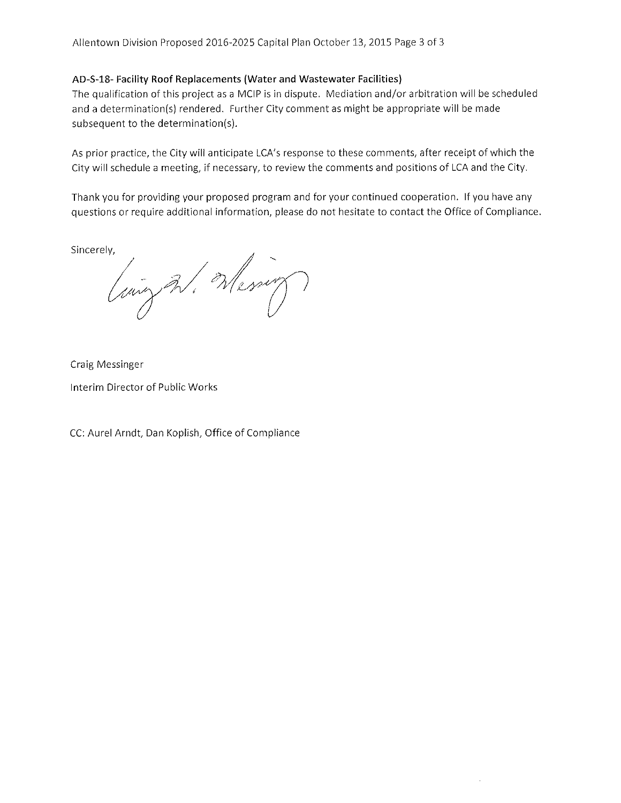# AD-S-18- Facility Roof Replacements (Water and Wastewater Facilities)

The qualification of this project as a MCIP is in dispute. Mediation and/or arbitration will be scheduled and a determination(s) rendered. Further City comment as might be appropriate will be made subsequent to the determination(s).

As prior practice, the City will anticipate LCA's response to these comments, after receipt of which the City will schedule a meeting, if necessary, to review the comments and positions of LCA and the City.

Thank you for providing your proposed program and for your continued cooperation. If you have any questions or require additional information, please do not hesitate to contact the Office of Compliance.

Sincerely,

Court W. Wesser

Craig Messinger

Interim Director of Public Works

CC: Aurel Arndt, Dan Koplish, Office of Compliance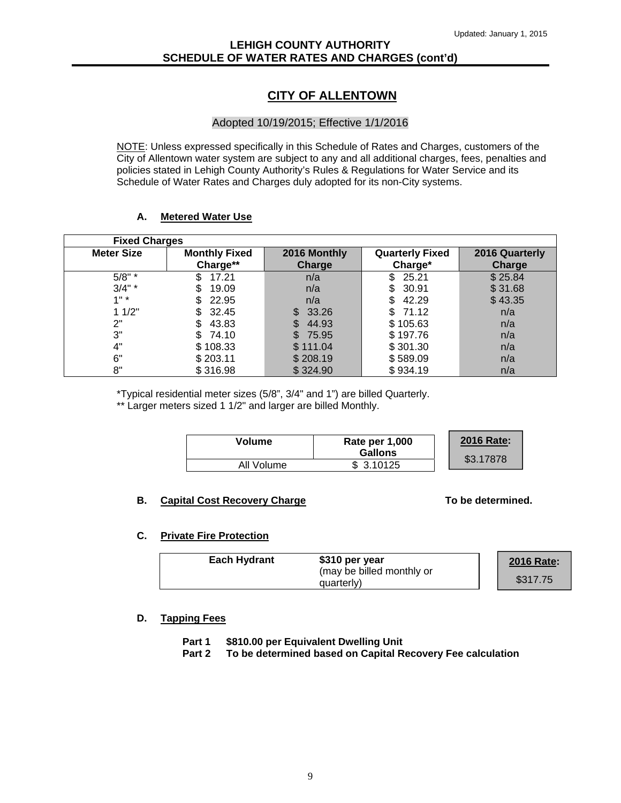# **LEHIGH COUNTY AUTHORITY SCHEDULE OF WATER RATES AND CHARGES (cont'd)**

# **CITY OF ALLENTOWN**

#### Adopted 10/19/2015; Effective 1/1/2016

NOTE: Unless expressed specifically in this Schedule of Rates and Charges, customers of the City of Allentown water system are subject to any and all additional charges, fees, penalties and policies stated in Lehigh County Authority's Rules & Regulations for Water Service and its Schedule of Water Rates and Charges duly adopted for its non-City systems.

#### **A. Metered Water Use**

| <b>Fixed Charges</b> |                      |               |                        |                |
|----------------------|----------------------|---------------|------------------------|----------------|
| <b>Meter Size</b>    | <b>Monthly Fixed</b> | 2016 Monthly  | <b>Quarterly Fixed</b> | 2016 Quarterly |
|                      | Charge**             | <b>Charge</b> | Charge*                | <b>Charge</b>  |
| $5/8"$ *             | 17.21                | n/a           | \$25.21                | \$25.84        |
| $3/4"$ *             | 19.09                | n/a           | \$30.91                | \$31.68        |
| 1"                   | 22.95                | n/a           | 42.29<br>\$.           | \$43.35        |
| 11/2"                | 32.45                | \$ 33.26      | \$71.12                | n/a            |
| 2"                   | 43.83                | 44.93         | \$105.63               | n/a            |
| 3"                   | \$74.10              | \$75.95       | \$197.76               | n/a            |
| 4"                   | \$108.33             | \$111.04      | \$301.30               | n/a            |
| 6"                   | \$203.11             | \$208.19      | \$589.09               | n/a            |
| 8"                   | \$316.98             | \$324.90      | \$934.19               | n/a            |

\*Typical residential meter sizes (5/8", 3/4" and 1") are billed Quarterly. \*\* Larger meters sized 1 1/2" and larger are billed Monthly.

| Volume     | Rate per 1,000<br><b>Gallons</b> | <b>2016 Rate:</b> |
|------------|----------------------------------|-------------------|
| All Volume | \$3.10125                        | \$3.17878         |

#### **B.** Capital Cost Recovery Charge **The Cost Recovery Charge** To be determined.

**2016 Rate:** 

#### **C. Private Fire Protection**

| <b>Each Hydrant</b> | \$310 per year            | <b>2016 Rate</b> |
|---------------------|---------------------------|------------------|
|                     | (may be billed monthly or |                  |
|                     | quarterly)                | \$317.75         |

 **D. Tapping Fees** 

 **Part 1 \$810.00 per Equivalent Dwelling Unit** 

 **Part 2 To be determined based on Capital Recovery Fee calculation**